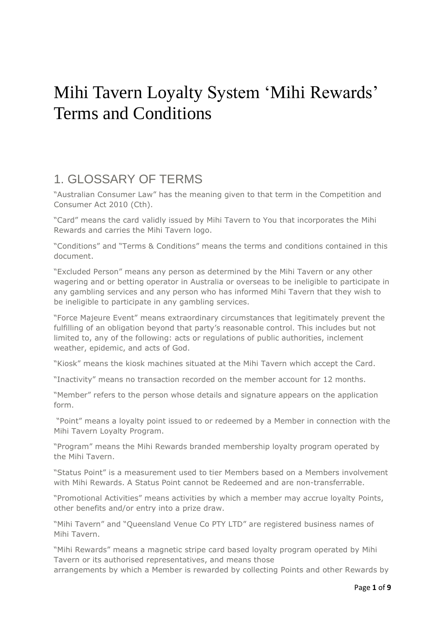# Mihi Tavern Loyalty System 'Mihi Rewards' Terms and Conditions

### 1. GLOSSARY OF TERMS

"Australian Consumer Law" has the meaning given to that term in the Competition and Consumer Act 2010 (Cth).

"Card" means the card validly issued by Mihi Tavern to You that incorporates the Mihi Rewards and carries the Mihi Tavern logo.

"Conditions" and "Terms & Conditions" means the terms and conditions contained in this document.

"Excluded Person" means any person as determined by the Mihi Tavern or any other wagering and or betting operator in Australia or overseas to be ineligible to participate in any gambling services and any person who has informed Mihi Tavern that they wish to be ineligible to participate in any gambling services.

"Force Majeure Event" means extraordinary circumstances that legitimately prevent the fulfilling of an obligation beyond that party's reasonable control. This includes but not limited to, any of the following: acts or regulations of public authorities, inclement weather, epidemic, and acts of God.

"Kiosk" means the kiosk machines situated at the Mihi Tavern which accept the Card.

"Inactivity" means no transaction recorded on the member account for 12 months.

"Member" refers to the person whose details and signature appears on the application form.

"Point" means a loyalty point issued to or redeemed by a Member in connection with the Mihi Tavern Loyalty Program.

"Program" means the Mihi Rewards branded membership loyalty program operated by the Mihi Tavern.

"Status Point" is a measurement used to tier Members based on a Members involvement with Mihi Rewards. A Status Point cannot be Redeemed and are non-transferrable.

"Promotional Activities" means activities by which a member may accrue loyalty Points, other benefits and/or entry into a prize draw.

"Mihi Tavern" and "Queensland Venue Co PTY LTD" are registered business names of Mihi Tavern.

"Mihi Rewards" means a magnetic stripe card based loyalty program operated by Mihi Tavern or its authorised representatives, and means those arrangements by which a Member is rewarded by collecting Points and other Rewards by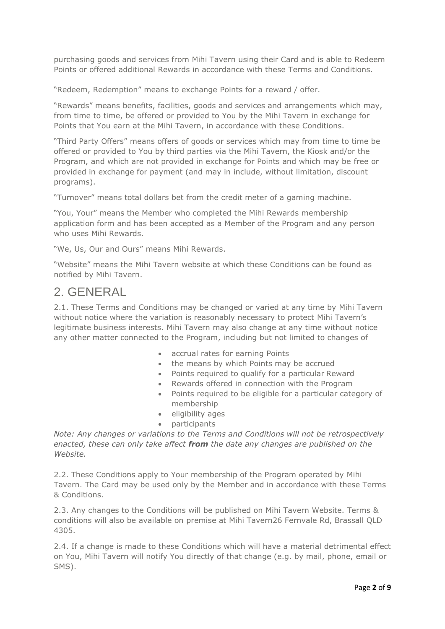purchasing goods and services from Mihi Tavern using their Card and is able to Redeem Points or offered additional Rewards in accordance with these Terms and Conditions.

"Redeem, Redemption" means to exchange Points for a reward / offer.

"Rewards" means benefits, facilities, goods and services and arrangements which may, from time to time, be offered or provided to You by the Mihi Tavern in exchange for Points that You earn at the Mihi Tavern, in accordance with these Conditions.

"Third Party Offers" means offers of goods or services which may from time to time be offered or provided to You by third parties via the Mihi Tavern, the Kiosk and/or the Program, and which are not provided in exchange for Points and which may be free or provided in exchange for payment (and may in include, without limitation, discount programs).

"Turnover" means total dollars bet from the credit meter of a gaming machine.

"You, Your" means the Member who completed the Mihi Rewards membership application form and has been accepted as a Member of the Program and any person who uses Mihi Rewards.

"We, Us, Our and Ours" means Mihi Rewards.

"Website" means the Mihi Tavern website at which these Conditions can be found as notified by Mihi Tavern.

#### 2. GENERAL

2.1. These Terms and Conditions may be changed or varied at any time by Mihi Tavern without notice where the variation is reasonably necessary to protect Mihi Tavern's legitimate business interests. Mihi Tavern may also change at any time without notice any other matter connected to the Program, including but not limited to changes of

- accrual rates for earning Points
- the means by which Points may be accrued
- Points required to qualify for a particular Reward
- Rewards offered in connection with the Program
- Points required to be eligible for a particular category of membership
- eligibility ages
- participants

*Note: Any changes or variations to the Terms and Conditions will not be retrospectively enacted, these can only take affect from the date any changes are published on the Website.*

2.2. These Conditions apply to Your membership of the Program operated by Mihi Tavern. The Card may be used only by the Member and in accordance with these Terms & Conditions.

2.3. Any changes to the Conditions will be published on Mihi Tavern Website. Terms & conditions will also be available on premise at Mihi Tavern26 Fernvale Rd, Brassall QLD 4305.

2.4. If a change is made to these Conditions which will have a material detrimental effect on You, Mihi Tavern will notify You directly of that change (e.g. by mail, phone, email or SMS).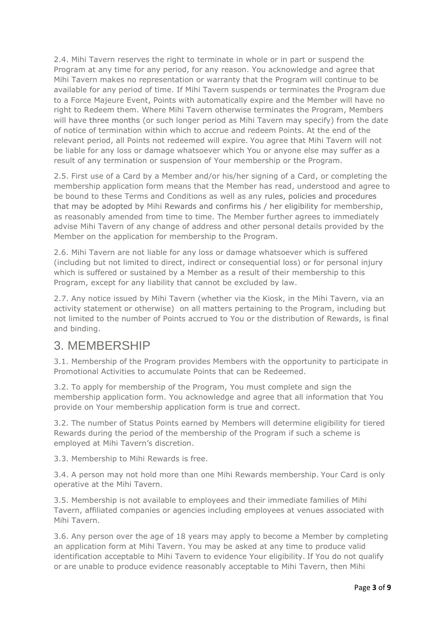2.4. Mihi Tavern reserves the right to terminate in whole or in part or suspend the Program at any time for any period, for any reason. You acknowledge and agree that Mihi Tavern makes no representation or warranty that the Program will continue to be available for any period of time. If Mihi Tavern suspends or terminates the Program due to a Force Majeure Event, Points with automatically expire and the Member will have no right to Redeem them. Where Mihi Tavern otherwise terminates the Program, Members will have three months (or such longer period as Mihi Tavern may specify) from the date of notice of termination within which to accrue and redeem Points. At the end of the relevant period, all Points not redeemed will expire. You agree that Mihi Tavern will not be liable for any loss or damage whatsoever which You or anyone else may suffer as a result of any termination or suspension of Your membership or the Program.

2.5. First use of a Card by a Member and/or his/her signing of a Card, or completing the membership application form means that the Member has read, understood and agree to be bound to these Terms and Conditions as well as any rules, policies and procedures that may be adopted by Mihi Rewards and confirms his / her eligibility for membership, as reasonably amended from time to time. The Member further agrees to immediately advise Mihi Tavern of any change of address and other personal details provided by the Member on the application for membership to the Program.

2.6. Mihi Tavern are not liable for any loss or damage whatsoever which is suffered (including but not limited to direct, indirect or consequential loss) or for personal injury which is suffered or sustained by a Member as a result of their membership to this Program, except for any liability that cannot be excluded by law.

2.7. Any notice issued by Mihi Tavern (whether via the Kiosk, in the Mihi Tavern, via an activity statement or otherwise) on all matters pertaining to the Program, including but not limited to the number of Points accrued to You or the distribution of Rewards, is final and binding.

#### 3. MEMBERSHIP

3.1. Membership of the Program provides Members with the opportunity to participate in Promotional Activities to accumulate Points that can be Redeemed.

3.2. To apply for membership of the Program, You must complete and sign the membership application form. You acknowledge and agree that all information that You provide on Your membership application form is true and correct.

3.2. The number of Status Points earned by Members will determine eligibility for tiered Rewards during the period of the membership of the Program if such a scheme is employed at Mihi Tavern's discretion.

3.3. Membership to Mihi Rewards is free.

3.4. A person may not hold more than one Mihi Rewards membership. Your Card is only operative at the Mihi Tavern.

3.5. Membership is not available to employees and their immediate families of Mihi Tavern, affiliated companies or agencies including employees at venues associated with Mihi Tavern.

3.6. Any person over the age of 18 years may apply to become a Member by completing an application form at Mihi Tavern. You may be asked at any time to produce valid identification acceptable to Mihi Tavern to evidence Your eligibility. If You do not qualify or are unable to produce evidence reasonably acceptable to Mihi Tavern, then Mihi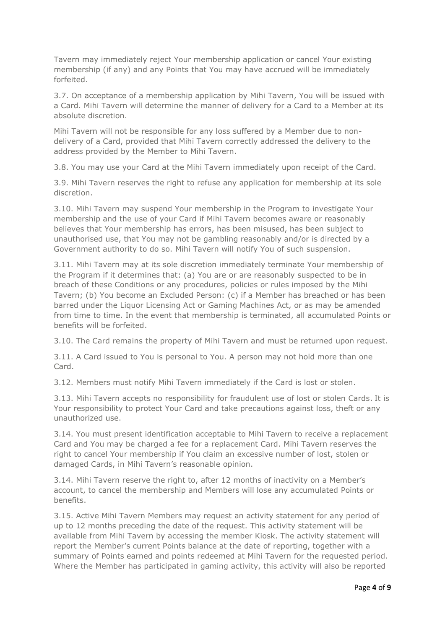Tavern may immediately reject Your membership application or cancel Your existing membership (if any) and any Points that You may have accrued will be immediately forfeited.

3.7. On acceptance of a membership application by Mihi Tavern, You will be issued with a Card. Mihi Tavern will determine the manner of delivery for a Card to a Member at its absolute discretion.

Mihi Tavern will not be responsible for any loss suffered by a Member due to nondelivery of a Card, provided that Mihi Tavern correctly addressed the delivery to the address provided by the Member to Mihi Tavern.

3.8. You may use your Card at the Mihi Tavern immediately upon receipt of the Card.

3.9. Mihi Tavern reserves the right to refuse any application for membership at its sole discretion.

3.10. Mihi Tavern may suspend Your membership in the Program to investigate Your membership and the use of your Card if Mihi Tavern becomes aware or reasonably believes that Your membership has errors, has been misused, has been subject to unauthorised use, that You may not be gambling reasonably and/or is directed by a Government authority to do so. Mihi Tavern will notify You of such suspension.

3.11. Mihi Tavern may at its sole discretion immediately terminate Your membership of the Program if it determines that: (a) You are or are reasonably suspected to be in breach of these Conditions or any procedures, policies or rules imposed by the Mihi Tavern; (b) You become an Excluded Person: (c) if a Member has breached or has been barred under the Liquor Licensing Act or Gaming Machines Act, or as may be amended from time to time. In the event that membership is terminated, all accumulated Points or benefits will be forfeited.

3.10. The Card remains the property of Mihi Tavern and must be returned upon request.

3.11. A Card issued to You is personal to You. A person may not hold more than one Card.

3.12. Members must notify Mihi Tavern immediately if the Card is lost or stolen.

3.13. Mihi Tavern accepts no responsibility for fraudulent use of lost or stolen Cards. It is Your responsibility to protect Your Card and take precautions against loss, theft or any unauthorized use.

3.14. You must present identification acceptable to Mihi Tavern to receive a replacement Card and You may be charged a fee for a replacement Card. Mihi Tavern reserves the right to cancel Your membership if You claim an excessive number of lost, stolen or damaged Cards, in Mihi Tavern's reasonable opinion.

3.14. Mihi Tavern reserve the right to, after 12 months of inactivity on a Member's account, to cancel the membership and Members will lose any accumulated Points or benefits.

3.15. Active Mihi Tavern Members may request an activity statement for any period of up to 12 months preceding the date of the request. This activity statement will be available from Mihi Tavern by accessing the member Kiosk. The activity statement will report the Member's current Points balance at the date of reporting, together with a summary of Points earned and points redeemed at Mihi Tavern for the requested period. Where the Member has participated in gaming activity, this activity will also be reported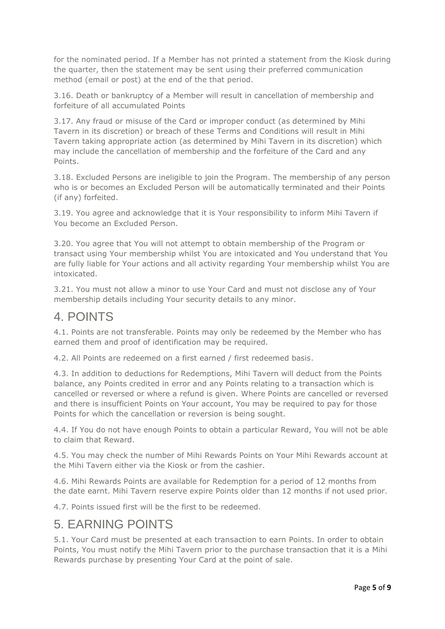for the nominated period. If a Member has not printed a statement from the Kiosk during the quarter, then the statement may be sent using their preferred communication method (email or post) at the end of the that period.

3.16. Death or bankruptcy of a Member will result in cancellation of membership and forfeiture of all accumulated Points

3.17. Any fraud or misuse of the Card or improper conduct (as determined by Mihi Tavern in its discretion) or breach of these Terms and Conditions will result in Mihi Tavern taking appropriate action (as determined by Mihi Tavern in its discretion) which may include the cancellation of membership and the forfeiture of the Card and any Points.

3.18. Excluded Persons are ineligible to join the Program. The membership of any person who is or becomes an Excluded Person will be automatically terminated and their Points (if any) forfeited.

3.19. You agree and acknowledge that it is Your responsibility to inform Mihi Tavern if You become an Excluded Person.

3.20. You agree that You will not attempt to obtain membership of the Program or transact using Your membership whilst You are intoxicated and You understand that You are fully liable for Your actions and all activity regarding Your membership whilst You are intoxicated.

3.21. You must not allow a minor to use Your Card and must not disclose any of Your membership details including Your security details to any minor.

#### 4. POINTS

4.1. Points are not transferable. Points may only be redeemed by the Member who has earned them and proof of identification may be required.

4.2. All Points are redeemed on a first earned / first redeemed basis.

4.3. In addition to deductions for Redemptions, Mihi Tavern will deduct from the Points balance, any Points credited in error and any Points relating to a transaction which is cancelled or reversed or where a refund is given. Where Points are cancelled or reversed and there is insufficient Points on Your account, You may be required to pay for those Points for which the cancellation or reversion is being sought.

4.4. If You do not have enough Points to obtain a particular Reward, You will not be able to claim that Reward.

4.5. You may check the number of Mihi Rewards Points on Your Mihi Rewards account at the Mihi Tavern either via the Kiosk or from the cashier.

4.6. Mihi Rewards Points are available for Redemption for a period of 12 months from the date earnt. Mihi Tavern reserve expire Points older than 12 months if not used prior.

4.7. Points issued first will be the first to be redeemed.

#### 5. EARNING POINTS

5.1. Your Card must be presented at each transaction to earn Points. In order to obtain Points, You must notify the Mihi Tavern prior to the purchase transaction that it is a Mihi Rewards purchase by presenting Your Card at the point of sale.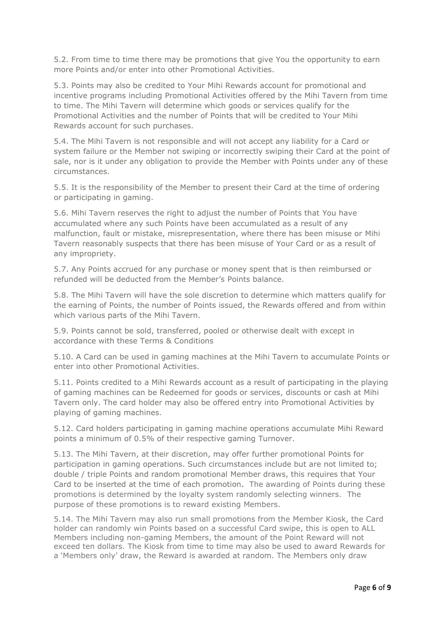5.2. From time to time there may be promotions that give You the opportunity to earn more Points and/or enter into other Promotional Activities.

5.3. Points may also be credited to Your Mihi Rewards account for promotional and incentive programs including Promotional Activities offered by the Mihi Tavern from time to time. The Mihi Tavern will determine which goods or services qualify for the Promotional Activities and the number of Points that will be credited to Your Mihi Rewards account for such purchases.

5.4. The Mihi Tavern is not responsible and will not accept any liability for a Card or system failure or the Member not swiping or incorrectly swiping their Card at the point of sale, nor is it under any obligation to provide the Member with Points under any of these circumstances.

5.5. It is the responsibility of the Member to present their Card at the time of ordering or participating in gaming.

5.6. Mihi Tavern reserves the right to adjust the number of Points that You have accumulated where any such Points have been accumulated as a result of any malfunction, fault or mistake, misrepresentation, where there has been misuse or Mihi Tavern reasonably suspects that there has been misuse of Your Card or as a result of any impropriety.

5.7. Any Points accrued for any purchase or money spent that is then reimbursed or refunded will be deducted from the Member's Points balance.

5.8. The Mihi Tavern will have the sole discretion to determine which matters qualify for the earning of Points, the number of Points issued, the Rewards offered and from within which various parts of the Mihi Tavern.

5.9. Points cannot be sold, transferred, pooled or otherwise dealt with except in accordance with these Terms & Conditions

5.10. A Card can be used in gaming machines at the Mihi Tavern to accumulate Points or enter into other Promotional Activities.

5.11. Points credited to a Mihi Rewards account as a result of participating in the playing of gaming machines can be Redeemed for goods or services, discounts or cash at Mihi Tavern only. The card holder may also be offered entry into Promotional Activities by playing of gaming machines.

5.12. Card holders participating in gaming machine operations accumulate Mihi Reward points a minimum of 0.5% of their respective gaming Turnover.

5.13. The Mihi Tavern, at their discretion, may offer further promotional Points for participation in gaming operations. Such circumstances include but are not limited to; double / triple Points and random promotional Member draws, this requires that Your Card to be inserted at the time of each promotion. The awarding of Points during these promotions is determined by the loyalty system randomly selecting winners. The purpose of these promotions is to reward existing Members.

5.14. The Mihi Tavern may also run small promotions from the Member Kiosk, the Card holder can randomly win Points based on a successful Card swipe, this is open to ALL Members including non-gaming Members, the amount of the Point Reward will not exceed ten dollars. The Kiosk from time to time may also be used to award Rewards for a 'Members only' draw, the Reward is awarded at random. The Members only draw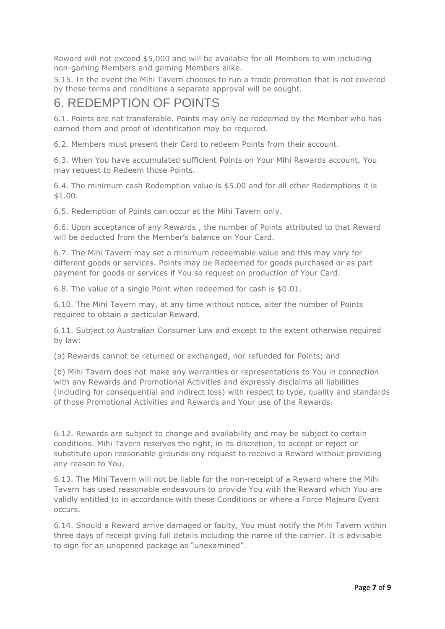Reward will not exceed \$5,000 and will be available for all Members to win including non-gaming Members and gaming Members alike.

5.15. In the event the Mihi Tavern chooses to run a trade promotion that is not covered by these terms and conditions a separate approval will be sought.

#### 6. REDEMPTION OF POINTS

6.1. Points are not transferable. Points may only be redeemed by the Member who has earned them and proof of identification may be required.

6.2. Members must present their Card to redeem Points from their account.

6.3. When You have accumulated sufficient Points on Your Mihi Rewards account, You may request to Redeem those Points.

6.4. The minimum cash Redemption value is \$5.00 and for all other Redemptions it is \$1.00.

6.5. Redemption of Points can occur at the Mihi Tavern only.

6.6. Upon acceptance of any Rewards , the number of Points attributed to that Reward will be deducted from the Member's balance on Your Card.

6.7. The Mihi Tavern may set a minimum redeemable value and this may vary for different goods or services. Points may be Redeemed for goods purchased or as part payment for goods or services if You so request on production of Your Card.

6.8. The value of a single Point when redeemed for cash is \$0.01.

6.10. The Mihi Tavern may, at any time without notice, alter the number of Points required to obtain a particular Reward.

6.11. Subject to Australian Consumer Law and except to the extent otherwise required by law:

(a) Rewards cannot be returned or exchanged, nor refunded for Points; and

(b) Mihi Tavern does not make any warranties or representations to You in connection with any Rewards and Promotional Activities and expressly disclaims all liabilities (including for consequential and indirect loss) with respect to type, quality and standards of those Promotional Activities and Rewards and Your use of the Rewards.

6.12. Rewards are subject to change and availability and may be subject to certain conditions. Mihi Tavern reserves the right, in its discretion, to accept or reject or substitute upon reasonable grounds any request to receive a Reward without providing any reason to You.

6.13. The Mihi Tavern will not be liable for the non-receipt of a Reward where the Mihi Tavern has used reasonable endeavours to provide You with the Reward which You are validly entitled to in accordance with these Conditions or where a Force Majeure Event occurs.

6.14. Should a Reward arrive damaged or faulty, You must notify the Mihi Tavern within three days of receipt giving full details including the name of the carrier. It is advisable to sign for an unopened package as "unexamined".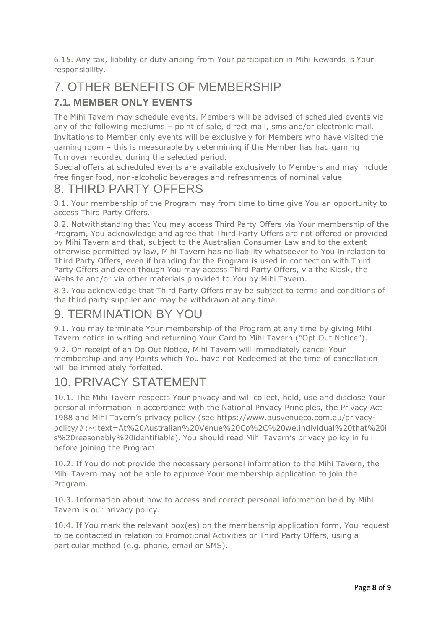6.15. Any tax, liability or duty arising from Your participation in Mihi Rewards is Your responsibility.

## 7. OTHER BENEFITS OF MEMBERSHIP

#### **7.1. MEMBER ONLY EVENTS**

The Mihi Tavern may schedule events. Members will be advised of scheduled events via any of the following mediums – point of sale, direct mail, sms and/or electronic mail. Invitations to Member only events will be exclusively for Members who have visited the gaming room – this is measurable by determining if the Member has had gaming Turnover recorded during the selected period.

Special offers at scheduled events are available exclusively to Members and may include free finger food, non-alcoholic beverages and refreshments of nominal value

## 8. THIRD PARTY OFFERS

8.1. Your membership of the Program may from time to time give You an opportunity to access Third Party Offers.

8.2. Notwithstanding that You may access Third Party Offers via Your membership of the Program, You acknowledge and agree that Third Party Offers are not offered or provided by Mihi Tavern and that, subject to the Australian Consumer Law and to the extent otherwise permitted by law, Mihi Tavern has no liability whatsoever to You in relation to Third Party Offers, even if branding for the Program is used in connection with Third Party Offers and even though You may access Third Party Offers, via the Kiosk, the Website and/or via other materials provided to You by Mihi Tavern.

8.3. You acknowledge that Third Party Offers may be subject to terms and conditions of the third party supplier and may be withdrawn at any time.

## 9. TERMINATION BY YOU

9.1. You may terminate Your membership of the Program at any time by giving Mihi Tavern notice in writing and returning Your Card to Mihi Tavern ("Opt Out Notice").

9.2. On receipt of an Op Out Notice, Mihi Tavern will immediately cancel Your membership and any Points which You have not Redeemed at the time of cancellation will be immediately forfeited.

## 10. PRIVACY STATEMENT

10.1. The Mihi Tavern respects Your privacy and will collect, hold, use and disclose Your personal information in accordance with the National Privacy Principles, the Privacy Act 1988 and Mihi Tavern's privacy policy (see https://www.ausvenueco.com.au/privacypolicy/#:~:text=At%20Australian%20Venue%20Co%2C%20we,individual%20that%20i s%20reasonably%20identifiable). You should read Mihi Tavern's privacy policy in full before joining the Program.

10.2. If You do not provide the necessary personal information to the Mihi Tavern, the Mihi Tavern may not be able to approve Your membership application to join the Program.

10.3. Information about how to access and correct personal information held by Mihi Tavern is our privacy policy.

10.4. If You mark the relevant box(es) on the membership application form, You request to be contacted in relation to Promotional Activities or Third Party Offers, using a particular method (e.g. phone, email or SMS).